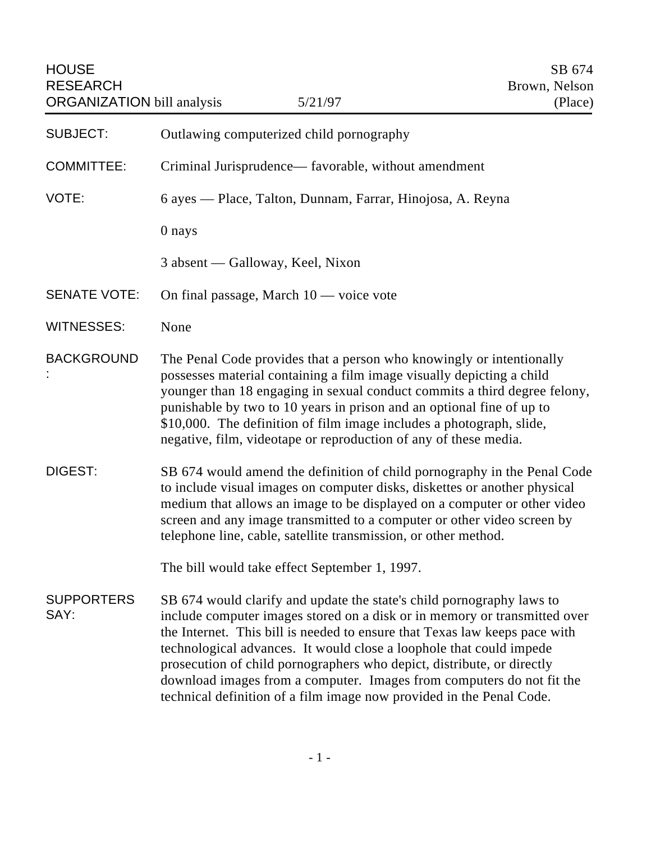| <b>HOUSE</b><br><b>RESEARCH</b><br><b>ORGANIZATION</b> bill analysis | 5/21/97                                                                                                                                                                                                                                                                                                                                                                                                                                                                                                                            | SB 674<br>Brown, Nelson<br>(Place) |
|----------------------------------------------------------------------|------------------------------------------------------------------------------------------------------------------------------------------------------------------------------------------------------------------------------------------------------------------------------------------------------------------------------------------------------------------------------------------------------------------------------------------------------------------------------------------------------------------------------------|------------------------------------|
| <b>SUBJECT:</b>                                                      | Outlawing computerized child pornography                                                                                                                                                                                                                                                                                                                                                                                                                                                                                           |                                    |
| <b>COMMITTEE:</b>                                                    | Criminal Jurisprudence— favorable, without amendment                                                                                                                                                                                                                                                                                                                                                                                                                                                                               |                                    |
| VOTE:                                                                | 6 ayes — Place, Talton, Dunnam, Farrar, Hinojosa, A. Reyna                                                                                                                                                                                                                                                                                                                                                                                                                                                                         |                                    |
|                                                                      | 0 nays                                                                                                                                                                                                                                                                                                                                                                                                                                                                                                                             |                                    |
|                                                                      | 3 absent — Galloway, Keel, Nixon                                                                                                                                                                                                                                                                                                                                                                                                                                                                                                   |                                    |
| <b>SENATE VOTE:</b>                                                  | On final passage, March $10$ — voice vote                                                                                                                                                                                                                                                                                                                                                                                                                                                                                          |                                    |
| <b>WITNESSES:</b>                                                    | None                                                                                                                                                                                                                                                                                                                                                                                                                                                                                                                               |                                    |
| <b>BACKGROUND</b>                                                    | The Penal Code provides that a person who knowingly or intentionally<br>possesses material containing a film image visually depicting a child<br>younger than 18 engaging in sexual conduct commits a third degree felony,<br>punishable by two to 10 years in prison and an optional fine of up to<br>\$10,000. The definition of film image includes a photograph, slide,<br>negative, film, videotape or reproduction of any of these media.                                                                                    |                                    |
| DIGEST:                                                              | SB 674 would amend the definition of child pornography in the Penal Code<br>to include visual images on computer disks, diskettes or another physical<br>medium that allows an image to be displayed on a computer or other video<br>screen and any image transmitted to a computer or other video screen by<br>telephone line, cable, satellite transmission, or other method.                                                                                                                                                    |                                    |
|                                                                      | The bill would take effect September 1, 1997.                                                                                                                                                                                                                                                                                                                                                                                                                                                                                      |                                    |
| <b>SUPPORTERS</b><br>SAY:                                            | SB 674 would clarify and update the state's child pornography laws to<br>include computer images stored on a disk or in memory or transmitted over<br>the Internet. This bill is needed to ensure that Texas law keeps pace with<br>technological advances. It would close a loophole that could impede<br>prosecution of child pornographers who depict, distribute, or directly<br>download images from a computer. Images from computers do not fit the<br>technical definition of a film image now provided in the Penal Code. |                                    |